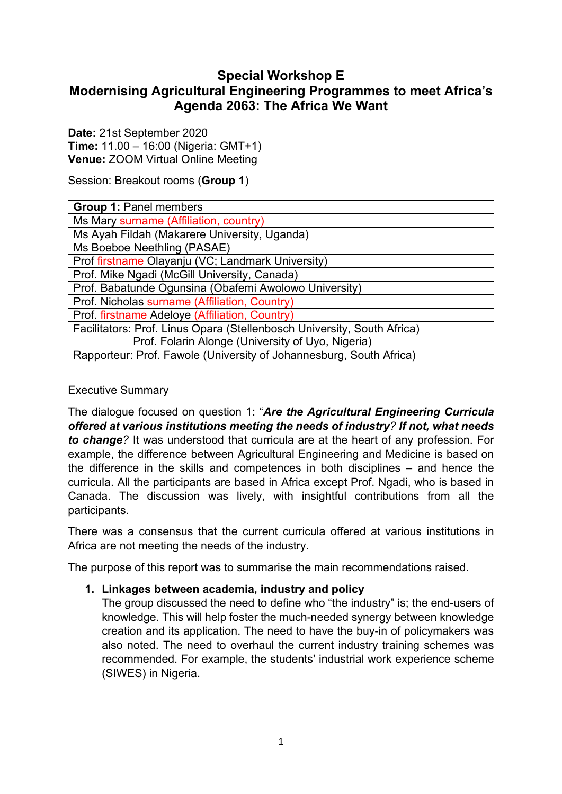# **Special Workshop E Modernising Agricultural Engineering Programmes to meet Africa's Agenda 2063: The Africa We Want**

**Date:** 21st September 2020 **Time:** 11.00 – 16:00 (Nigeria: GMT+1) **Venue:** ZOOM Virtual Online Meeting

Session: Breakout rooms (**Group 1**)

| <b>Group 1: Panel members</b>                                           |
|-------------------------------------------------------------------------|
| Ms Mary surname (Affiliation, country)                                  |
| Ms Ayah Fildah (Makarere University, Uganda)                            |
| Ms Boeboe Neethling (PASAE)                                             |
| Prof firstname Olayanju (VC; Landmark University)                       |
| Prof. Mike Ngadi (McGill University, Canada)                            |
| Prof. Babatunde Ogunsina (Obafemi Awolowo University)                   |
| Prof. Nicholas surname (Affiliation, Country)                           |
| Prof. firstname Adeloye (Affiliation, Country)                          |
| Facilitators: Prof. Linus Opara (Stellenbosch University, South Africa) |
| Prof. Folarin Alonge (University of Uyo, Nigeria)                       |
| Rapporteur: Prof. Fawole (University of Johannesburg, South Africa)     |

## Executive Summary

The dialogue focused on question 1: "*Are the Agricultural Engineering Curricula offered at various institutions meeting the needs of industry? If not, what needs to change?* It was understood that curricula are at the heart of any profession. For example, the difference between Agricultural Engineering and Medicine is based on the difference in the skills and competences in both disciplines – and hence the curricula. All the participants are based in Africa except Prof. Ngadi, who is based in Canada. The discussion was lively, with insightful contributions from all the participants.

There was a consensus that the current curricula offered at various institutions in Africa are not meeting the needs of the industry.

The purpose of this report was to summarise the main recommendations raised.

## **1. Linkages between academia, industry and policy**

The group discussed the need to define who "the industry" is; the end-users of knowledge. This will help foster the much-needed synergy between knowledge creation and its application. The need to have the buy-in of policymakers was also noted. The need to overhaul the current industry training schemes was recommended. For example, the students' industrial work experience scheme (SIWES) in Nigeria.